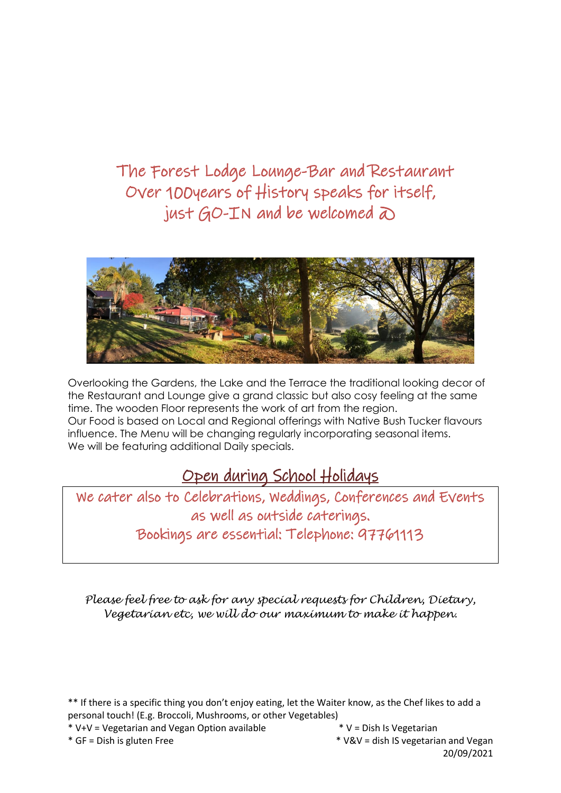The Forest Lodge Lounge-Bar and Restaurant Over 100years of History speaks for itself, just  $GO-TN$  and be welcomed  $\delta$ 



Overlooking the Gardens, the Lake and the Terrace the traditional looking decor of the Restaurant and Lounge give a grand classic but also cosy feeling at the same time. The wooden Floor represents the work of art from the region. Our Food is based on Local and Regional offerings with Native Bush Tucker flavours influence. The Menu will be changing regularly incorporating seasonal items. We will be featuring additional Daily specials.

### Open during School Holidays

We cater also to Celebrations, Weddings, Conferences and Events as well as outside caterings. Bookings are essential: Telephone: 97761113

*Please feel free to ask for any special requests for Children, Dietary, Vegetarian etc, we will do our maximum to make it happen.*

\*\* If there is a specific thing you don't enjoy eating, let the Waiter know, as the Chef likes to add a personal touch! (E.g. Broccoli, Mushrooms, or other Vegetables)

\* V+V = Vegetarian and Vegan Option available  $*$  V = Dish Is Vegetarian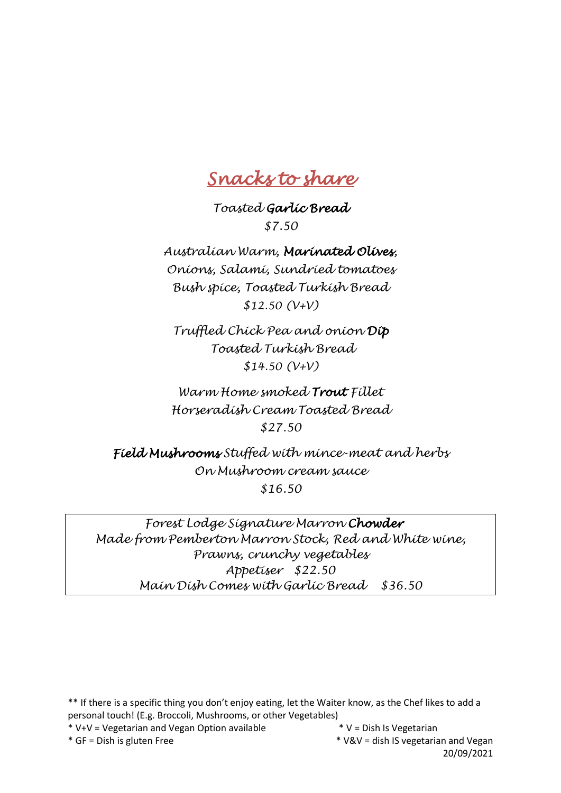## *Snacks to share*

*Toasted Garlic Bread \$7.50*

*Australian Warm, Marinated Olives, Onions, Salami, Sundried tomatoes Bush spice, Toasted Turkish Bread \$12.50 (V+V)* 

*Truffled Chick Pea and onion Dip Toasted Turkish Bread \$14.50 (V+V)*

*Warm Home smoked Trout Fillet Horseradish Cream Toasted Bread \$27.50*

*Field Mushrooms Stuffed with mince-meat and herbs On Mushroom cream sauce \$16.50*

*Forest Lodge Signature Marron Chowder Made from Pemberton Marron Stock, Red and White wine, Prawns, crunchy vegetables Appetiser \$22.50 Main Dish Comes with Garlic Bread \$36.50* 

\*\* If there is a specific thing you don't enjoy eating, let the Waiter know, as the Chef likes to add a personal touch! (E.g. Broccoli, Mushrooms, or other Vegetables)

\* V+V = Vegetarian and Vegan Option available  $*$  V = Dish Is Vegetarian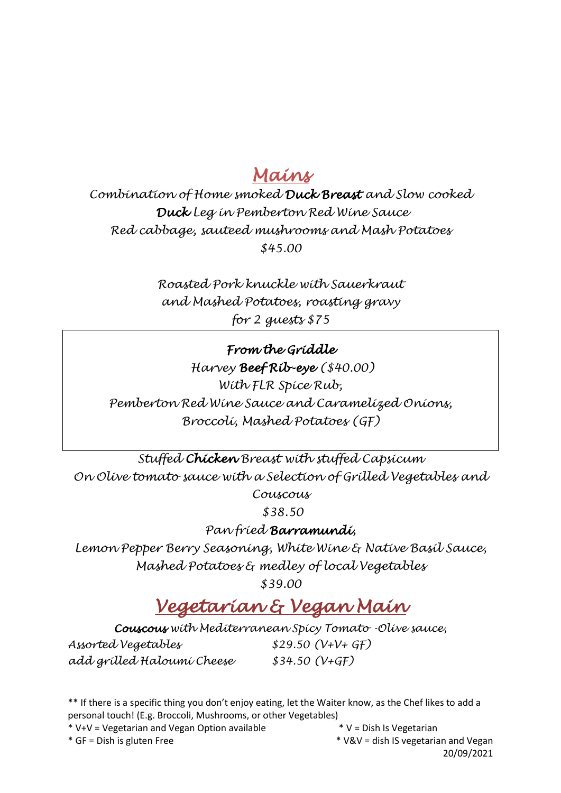### *Mains*

*Combination of Home smoked Duck Breast and Slow cooked Duck Leg in Pemberton Red Wine Sauce Red cabbage, sauteed mushrooms and Mash Potatoes \$45.00*

> *Roasted Pork knuckle with Sauerkraut and Mashed Potatoes, roasting gravy for 2 guests \$75*

#### *From the Griddle*

*Harvey Beef Rib-eye (\$40.00) With FLR Spice Rub, Pemberton Red Wine Sauce and Caramelized Onions, Broccoli, Mashed Potatoes (GF)*

*Stuffed Chicken Breast with stuffed Capsicum On Olive tomato sauce with a Selection of Grilled Vegetables and Couscous* 

*\$38.50*

*Pan fried Barramundi,*

*Lemon Pepper Berry Seasoning, White Wine & Native Basil Sauce, Mashed Potatoes & medley of local Vegetables* 

*\$39.00*

## *Vegetarian & Vegan Main*

*Couscous with Mediterranean Spicy Tomato -Olive sauce,* 

*Assorted Vegetables \$29.50 (V+V+ GF) add grilled Haloumi Cheese \$34.50 (V+GF)*

\*\* If there is a specific thing you don't enjoy eating, let the Waiter know, as the Chef likes to add a personal touch! (E.g. Broccoli, Mushrooms, or other Vegetables)

\* V+V = Vegetarian and Vegan Option available  $*$  V = Dish Is Vegetarian

\* GF = Dish is gluten Free \* V&V = dish IS vegetarian and Vegan 20/09/2021